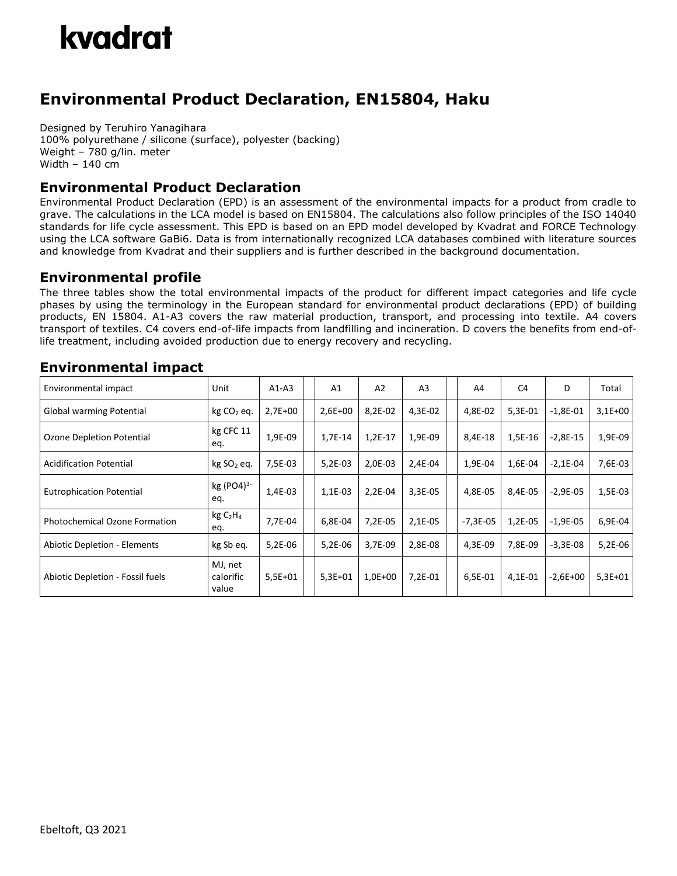## kvadrat

### **Environmental Product Declaration, EN15804, Haku**

Designed by Teruhiro Yanagihara 100% polyurethane / silicone (surface), polyester (backing) Weight – 780 g/lin. meter Width – 140 cm

#### **Environmental Product Declaration**

Environmental Product Declaration (EPD) is an assessment of the environmental impacts for a product from cradle to grave. The calculations in the LCA model is based on EN15804. The calculations also follow principles of the ISO 14040 standards for life cycle assessment. This EPD is based on an EPD model developed by Kvadrat and FORCE Technology using the LCA software GaBi6. Data is from internationally recognized LCA databases combined with literature sources and knowledge from Kvadrat and their suppliers and is further described in the background documentation.

#### **Environmental profile**

The three tables show the total environmental impacts of the product for different impact categories and life cycle phases by using the terminology in the European standard for environmental product declarations (EPD) of building products, EN 15804. A1-A3 covers the raw material production, transport, and processing into textile. A4 covers transport of textiles. C4 covers end-of-life impacts from landfilling and incineration. D covers the benefits from end-oflife treatment, including avoided production due to energy recovery and recycling.

| Environmental impact                 | Unit                                   | $A1-A3$   | A <sub>1</sub> | A2        | A <sub>3</sub> | A4         | C4        | D          | Total     |
|--------------------------------------|----------------------------------------|-----------|----------------|-----------|----------------|------------|-----------|------------|-----------|
| Global warming Potential             | kg CO <sub>2</sub> eq.                 | $2,7E+00$ | $2,6E+00$      | 8,2E-02   | 4,3E-02        | 4,8E-02    | $5,3E-01$ | $-1,8E-01$ | $3,1E+00$ |
| Ozone Depletion Potential            | kg CFC 11<br>eq.                       | 1,9E-09   | 1,7E-14        | $1,2E-17$ | 1,9E-09        | 8,4E-18    | 1,5E-16   | $-2,8E-15$ | 1,9E-09   |
| <b>Acidification Potential</b>       | kg SO <sub>2</sub> eq.                 | 7,5E-03   | $5,2E-03$      | 2,0E-03   | 2,4E-04        | 1,9E-04    | 1,6E-04   | $-2,1E-04$ | 7,6E-03   |
| <b>Eutrophication Potential</b>      | kg (PO4) $3 -$<br>eq.                  | 1,4E-03   | 1,1E-03        | 2,2E-04   | $3,3E-05$      | 4,8E-05    | 8,4E-05   | $-2,9E-05$ | 1,5E-03   |
| <b>Photochemical Ozone Formation</b> | kgC <sub>2</sub> H <sub>4</sub><br>eq. | 7,7E-04   | 6,8E-04        | 7,2E-05   | $2,1E-05$      | $-7,3E-05$ | 1,2E-05   | $-1,9E-05$ | 6,9E-04   |
| <b>Abiotic Depletion - Elements</b>  | kg Sb eq.                              | 5,2E-06   | 5,2E-06        | 3.7E-09   | 2,8E-08        | 4,3E-09    | 7.8E-09   | $-3,3E-08$ | $5,2E-06$ |
| Abiotic Depletion - Fossil fuels     | MJ, net<br>calorific<br>value          | $5,5E+01$ | $5,3E+01$      | $1,0E+00$ | 7,2E-01        | 6,5E-01    | 4,1E-01   | $-2,6E+00$ | $5,3E+01$ |

#### **Environmental impact**